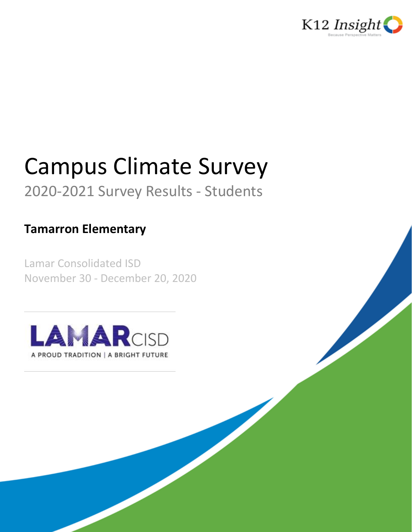

# Campus Climate Survey

## 2020-2021 Survey Results - Students

## **Tamarron Elementary**

Lamar Consolidated ISD November 30 - December 20, 2020

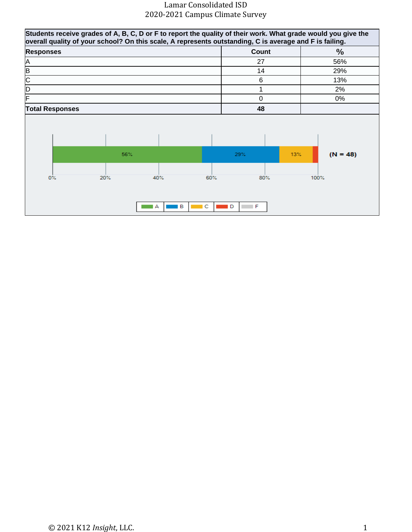| Students receive grades of A, B, C, D or F to report the quality of their work. What grade would you give the<br>overall quality of your school? On this scale, A represents outstanding, C is average and F is failing. |     |               |          |                |     |               |
|--------------------------------------------------------------------------------------------------------------------------------------------------------------------------------------------------------------------------|-----|---------------|----------|----------------|-----|---------------|
| <b>Responses</b>                                                                                                                                                                                                         |     |               |          | Count          |     | $\frac{0}{0}$ |
| A                                                                                                                                                                                                                        |     |               |          | 27             |     | 56%           |
| B                                                                                                                                                                                                                        |     |               |          | 14             |     | 29%           |
| $\overline{\mathsf{C}}$                                                                                                                                                                                                  |     |               |          | 6              |     | 13%           |
| D                                                                                                                                                                                                                        |     |               |          |                |     | 2%            |
| F                                                                                                                                                                                                                        |     |               |          | $\overline{0}$ |     | 0%            |
| <b>Total Responses</b>                                                                                                                                                                                                   |     |               |          | 48             |     |               |
|                                                                                                                                                                                                                          | 56% |               |          | 29%            | 13% | $(N = 48)$    |
| $0\%$                                                                                                                                                                                                                    | 20% | 40%<br>в<br>А | 60%<br>c | 80%<br>F<br>D  |     | 100%          |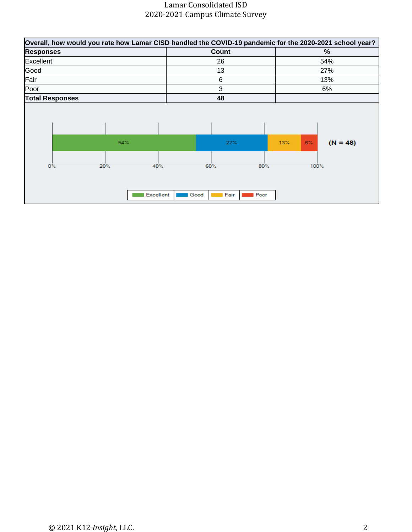| Overall, how would you rate how Lamar CISD handled the COVID-19 pandemic for the 2020-2021 school year? |                  |                     |             |       |            |
|---------------------------------------------------------------------------------------------------------|------------------|---------------------|-------------|-------|------------|
| <b>Responses</b>                                                                                        |                  | Count               |             |       | %          |
| Excellent                                                                                               |                  | 26                  |             |       | 54%        |
| Good                                                                                                    |                  | 13                  |             |       | 27%        |
| Fair                                                                                                    |                  | 6                   |             |       | 13%        |
| Poor                                                                                                    |                  | 3                   |             |       | 6%         |
| <b>Total Responses</b>                                                                                  |                  | 48                  |             |       |            |
| 54%                                                                                                     |                  | 27%                 | 13%         | $6\%$ | $(N = 48)$ |
| $0\%$<br>20%                                                                                            | 40%<br>Excellent | 60%<br>Fair<br>Good | 80%<br>Poor | 100%  |            |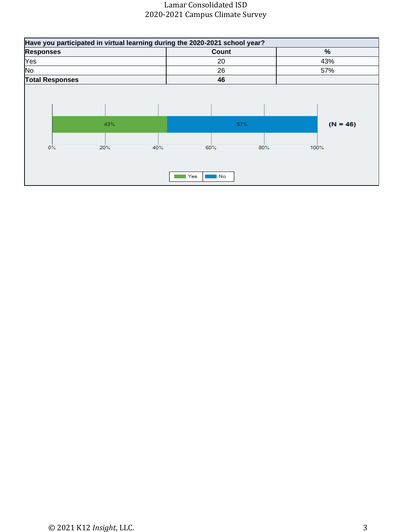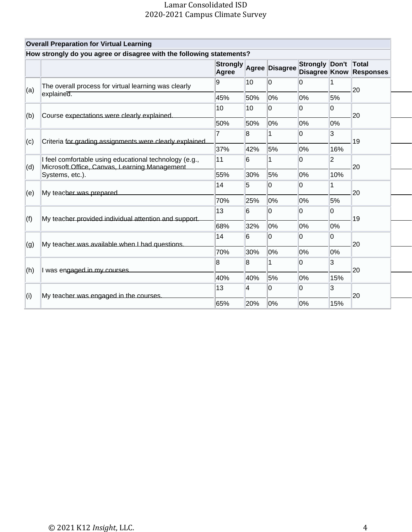|     | <b>Overall Preparation for Virtual Learning</b>                                                         |                          |     |                |                 |                |                                         |
|-----|---------------------------------------------------------------------------------------------------------|--------------------------|-----|----------------|-----------------|----------------|-----------------------------------------|
|     | How strongly do you agree or disagree with the following statements?                                    |                          |     |                |                 |                |                                         |
|     |                                                                                                         | <b>Strongly</b><br>Agree |     | Agree Disagree | <b>Strongly</b> | Don't          | Total<br><b>Disagree Know Responses</b> |
| (a) | The overall process for virtual learning was clearly                                                    | 9                        | 10  | 0              | 0               | 1              | 20                                      |
|     | explained.                                                                                              | 45%                      | 50% | 0%             | 0%              | 5%             |                                         |
| (b) | Course expectations were clearly explained.                                                             | 10                       | 10  | 0              | 0               | 0              | 20                                      |
|     |                                                                                                         | 50%                      | 50% | 0%             | 0%              | 0%             |                                         |
| (c) | Criteria for grading assignments were clearly explained.                                                | 7                        | 8   | 1              | 0               | 3              | 19                                      |
|     |                                                                                                         |                          | 42% | 5%             | 0%              | 16%            |                                         |
| (d) | I feel comfortable using educational technology (e.g.,<br>Microsoft Office, Canvas, Learning Management | 11                       | 6   | 1              | $\overline{0}$  | $\overline{2}$ | 20                                      |
|     | Systems, etc.).                                                                                         | 55%                      | 30% | 5%             | 0%              | 10%            |                                         |
| (e) | My teacher was prepared                                                                                 | 14                       | 5   | 0              | 0               | 1              | 20                                      |
|     |                                                                                                         | 70%                      | 25% | 0%             | 0%              | 5%             |                                         |
| (f) | My teacher provided individual attention and support.                                                   | 13                       | 6   | 0              | $\overline{0}$  | 0              | 19                                      |
|     |                                                                                                         | 68%                      | 32% | 0%             | 0%              | 0%             |                                         |
| (g) | My teacher was available when I had questions.                                                          | 14                       | 6   | 0              | 0               | 0              | 20                                      |
|     |                                                                                                         | 70%                      | 30% | 0%             | 0%              | 0%             |                                         |
| (h) | I was engaged in my courses.                                                                            | 8                        | 8   | 1              | 0               | 3              | 20                                      |
|     |                                                                                                         | 40%                      | 40% | 5%             | 0%              | 15%            |                                         |
| (i) | My teacher was engaged in the courses.                                                                  | 13                       | 4   | 0              | $\overline{0}$  | 3              | 20                                      |
|     |                                                                                                         | 65%                      | 20% | 0%             | 0%              | 15%            |                                         |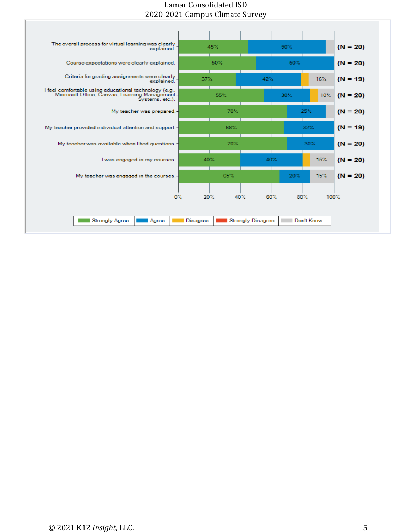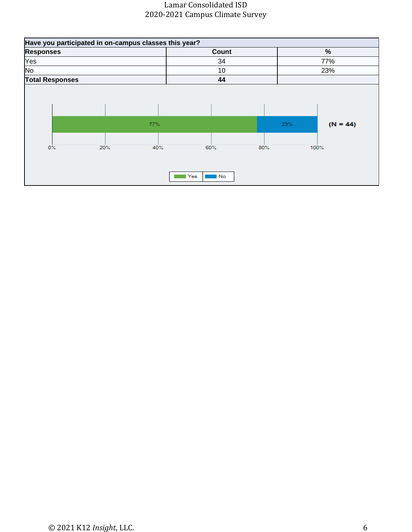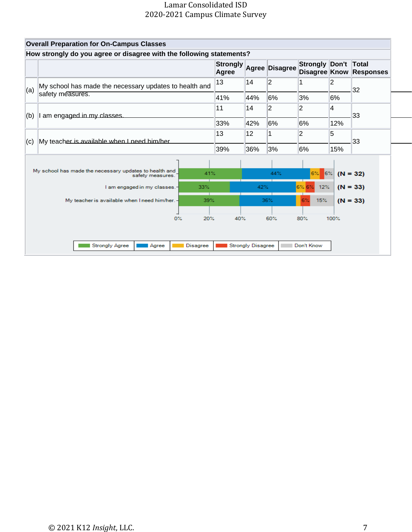| <b>Overall Preparation for On-Campus Classes</b>                           |                                                                                                 |                                                                                                       |                                                                                                |                                               |                                                    |                                                               |
|----------------------------------------------------------------------------|-------------------------------------------------------------------------------------------------|-------------------------------------------------------------------------------------------------------|------------------------------------------------------------------------------------------------|-----------------------------------------------|----------------------------------------------------|---------------------------------------------------------------|
|                                                                            |                                                                                                 |                                                                                                       |                                                                                                |                                               |                                                    |                                                               |
|                                                                            | Agree                                                                                           |                                                                                                       |                                                                                                |                                               |                                                    | <b>Responses</b>                                              |
|                                                                            | 13                                                                                              | 14                                                                                                    | $\overline{2}$                                                                                 |                                               | 2                                                  | 32                                                            |
|                                                                            | 41%                                                                                             | 44%                                                                                                   | 6%                                                                                             | 3%                                            | 6%                                                 |                                                               |
|                                                                            | 11                                                                                              | 14                                                                                                    | 2                                                                                              | $\overline{2}$                                | 4                                                  | 33                                                            |
|                                                                            | 33%                                                                                             | 42%                                                                                                   | 6%                                                                                             | 6%                                            | 12%                                                |                                                               |
|                                                                            | 13                                                                                              | 12                                                                                                    | 1                                                                                              | $\overline{2}$                                | 5                                                  | 33                                                            |
|                                                                            | 39%                                                                                             | 36%                                                                                                   | 3%                                                                                             | 6%                                            | 15%                                                |                                                               |
| My school has made the necessary updates to health and<br>safety measures. |                                                                                                 |                                                                                                       | 44%                                                                                            | $6\%$                                         |                                                    | $(N = 32)$                                                    |
| I am engaged in my classes.-                                               |                                                                                                 |                                                                                                       |                                                                                                |                                               |                                                    | $(N = 33)$                                                    |
| My teacher is available when I need him/her. -                             |                                                                                                 |                                                                                                       |                                                                                                | 6%                                            |                                                    | $(N = 33)$                                                    |
| 0%                                                                         |                                                                                                 |                                                                                                       |                                                                                                |                                               |                                                    |                                                               |
|                                                                            |                                                                                                 |                                                                                                       |                                                                                                |                                               |                                                    |                                                               |
| <b>Strongly Agree</b><br>Agree                                             |                                                                                                 |                                                                                                       |                                                                                                |                                               |                                                    |                                                               |
|                                                                            | safety measures.<br>I am engaged in my classes.<br>My teacher is available when I need him/her. | My school has made the necessary updates to health and<br>41%<br>33%<br>39%<br>20%<br><b>Disagree</b> | How strongly do you agree or disagree with the following statements?<br><b>Strongly</b><br>40% | 42%<br>36%<br>60%<br><b>Strongly Disagree</b> | Agree Disagree<br>6%62<br>15%<br>80%<br>Don't Know | Strongly Don't Total<br>Disagree Know<br>$6\%$<br>12%<br>100% |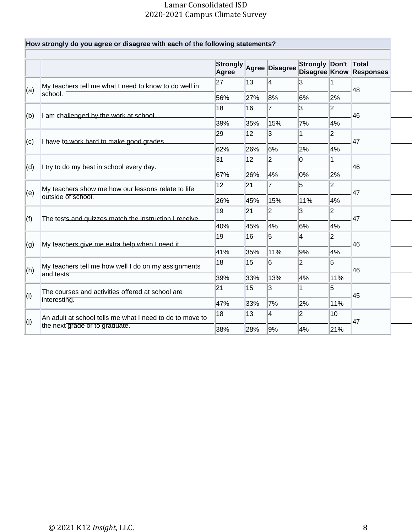|     |                                                                          | <b>Strongly</b><br>Agree |     | <b>Agree Disagree</b> | Strongly Don't |                | Total<br><b>Disagree Know Responses</b> |
|-----|--------------------------------------------------------------------------|--------------------------|-----|-----------------------|----------------|----------------|-----------------------------------------|
| (a) | My teachers tell me what I need to know to do well in                    | 27                       | 13  | 4                     | 3              | 1              | 48                                      |
|     | school.                                                                  | 56%                      | 27% | 8%                    | 6%             | 2%             |                                         |
| (b) | I am challenged by the work at school.                                   | 18                       | 16  | 7                     | 3              | $\overline{2}$ | 46                                      |
|     |                                                                          | 39%                      | 35% | 15%                   | 7%             | 4%             |                                         |
| (c) | I have to work hard to make good grades.                                 | 29                       | 12  | 3                     | 1              | $\overline{2}$ | 47                                      |
|     |                                                                          | 62%                      | 26% | 6%                    | 2%             | 4%             |                                         |
| (d) | I try to do my best in school every day.                                 | 31                       | 12  | $\overline{2}$        | 0              | 1              | 46                                      |
|     |                                                                          | 67%                      | 26% | 4%                    | 0%             | 2%             |                                         |
| (e) | My teachers show me how our lessons relate to life<br>outside of school. | 12                       | 21  | $\overline{7}$        | 5              | $\overline{2}$ | 47                                      |
|     |                                                                          | 26%                      | 45% | 15%                   | 11%            | 4%             |                                         |
| (f) | The tests and quizzes match the instruction I receive.                   | 19                       | 21  | $\overline{2}$        | 3              | $\overline{2}$ | 47                                      |
|     |                                                                          | 40%                      | 45% | 4%                    | 6%             | 4%             |                                         |
| (g) | My teachers give me extra help when I need it.                           | 19                       | 16  | 5                     | 4              | $\overline{2}$ | 46                                      |
|     |                                                                          | 41%                      | 35% | 11%                   | 9%             | 4%             |                                         |
| (h) | My teachers tell me how well I do on my assignments                      | 18                       | 15  | 6                     | $\overline{2}$ | 5              | 46                                      |
|     | land tests.                                                              | 39%                      | 33% | 13%                   | 4%             | 11%            |                                         |
|     | The courses and activities offered at school are                         | 21                       | 15  | 3                     | 1              | 5              | 45                                      |
| (i) | interesting.                                                             | 47%                      | 33% | 7%                    | 2%             | 11%            |                                         |
| (j) | An adult at school tells me what I need to do to move to                 | 18                       | 13  | 4                     | $\overline{2}$ | 10             | 47                                      |
|     | the next grade or to graduate.                                           | 38%                      | 28% | 9%                    | 4%             | 21%            |                                         |

F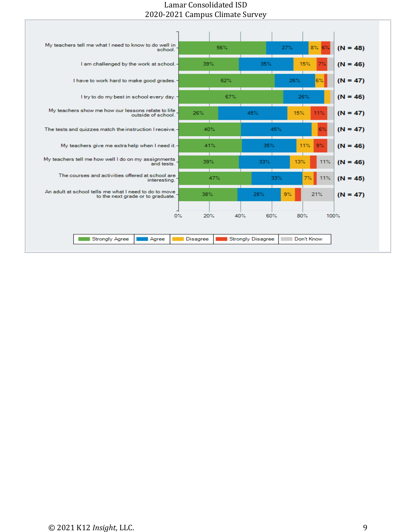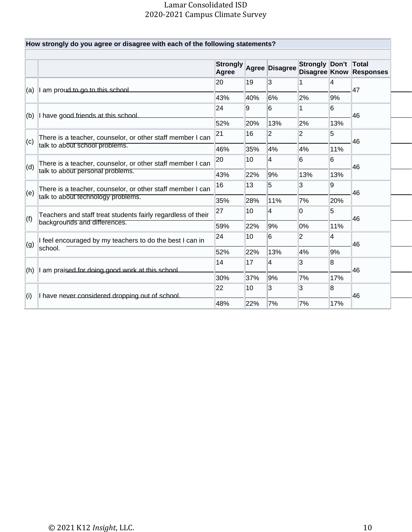|     | How strongly do you agree or disagree with each of the following statements? |                          |     |                |                |     |                                         |
|-----|------------------------------------------------------------------------------|--------------------------|-----|----------------|----------------|-----|-----------------------------------------|
|     |                                                                              | <b>Strongly</b><br>Agree |     | Agree Disagree | Strongly Don't |     | Total<br><b>Disagree Know Responses</b> |
|     |                                                                              | 20                       | 19  | 3              | 1              | 4   |                                         |
| (a) | I am proud to go to this school.                                             | 43%                      | 40% | 6%             | 2%             | 9%  | 47                                      |
| (b) | I have good friends at this school                                           | 24                       | 9   | 6              | 1              | 6   | 46                                      |
|     |                                                                              | 52%                      | 20% | 13%            | 2%             | 13% |                                         |
| (c) | There is a teacher, counselor, or other staff member I can                   | 21                       | 16  | $\overline{2}$ | $\overline{2}$ | 5   | 46                                      |
|     | talk to about school problems.                                               | 46%                      | 35% | 4%             | 4%             | 11% |                                         |
| (d) | There is a teacher, counselor, or other staff member I can                   | 20                       | 10  | 4              | 6              | 6   | 46                                      |
|     | talk to about personal problems.                                             | 43%                      | 22% | 9%             | 13%            | 13% |                                         |
| (e) | There is a teacher, counselor, or other staff member I can                   | 16                       | 13  | 5              | 3              | g   | 46                                      |
|     | talk to about technology problems.                                           | 35%                      | 28% | 11%            | 7%             | 20% |                                         |
| (f) | Teachers and staff treat students fairly regardless of their                 | 27                       | 10  | 4              | 0              | 5   | 46                                      |
|     | backgrounds and differences.                                                 | 59%                      | 22% | 9%             | 0%             | 11% |                                         |
| (g) | I feel encouraged by my teachers to do the best I can in                     | 24                       | 10  | 6              | $\overline{2}$ | 4   | 46                                      |
|     | school.                                                                      | 52%                      | 22% | 13%            | 4%             | 9%  |                                         |
| (h) | I am praised for doing good work at this school.                             | 14                       | 17  | 4              | 3              | 8   | 46                                      |
|     |                                                                              | 30%                      | 37% | 9%             | 7%             | 17% |                                         |
| (i) | I have never considered dropping out of school.                              | 22                       | 10  | 3              | 3              | 8   | 46                                      |
|     |                                                                              | 48%                      | 22% | 7%             | 7%             | 17% |                                         |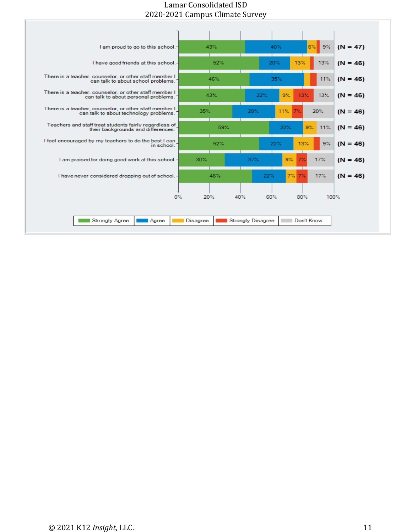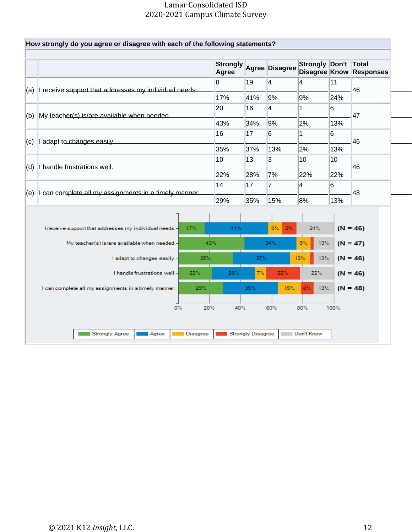| (a) |                                                        |     | <b>Strongly</b><br>Agree |     | Agree Disagree | Strongly Don't<br>Disagree Know |      | Total<br><b>Responses</b> |
|-----|--------------------------------------------------------|-----|--------------------------|-----|----------------|---------------------------------|------|---------------------------|
|     | I receive support that addresses my individual needs.  |     | 8                        | 19  | 4              | 4                               | 11   | 46                        |
|     |                                                        |     | 17%                      | 41% | 9%             | 9%                              | 24%  |                           |
| (b) | My teacher(s) is/are available when needed.            |     | 20                       | 16  | 4              | 1                               | 6    | 47                        |
|     |                                                        |     | 43%                      | 34% | 9%             | 2%                              | 13%  |                           |
| (c) | I adapt to changes easily.                             |     | 16                       | 17  | 6              | 1                               | 6    | 46                        |
|     |                                                        |     | 35%                      | 37% | 13%            | 2%                              | 13%  |                           |
| (d) | I handle frustrations well.                            | 10  | 13                       | 3   | 10             | 10 <sup>1</sup>                 | 46   |                           |
|     |                                                        |     | 22%                      | 28% | 7%             | 22%                             | 22%  |                           |
| (e) | I can complete all my assignments in a timely manner.  |     | 14                       | 17  | 7              | $\overline{4}$                  | 6    | 48                        |
|     |                                                        |     | 29%                      | 35% | 15%            | 8%                              | 13%  |                           |
|     |                                                        |     |                          |     |                |                                 |      |                           |
|     | I receive support that addresses my individual needs.- | 17% | 41%                      |     | 9%<br>$9\%$    | 24%                             |      | $(N = 46)$                |
|     | My teacher(s) is/are available when needed.-           | 43% |                          |     | 34%            | 9%<br>13%                       |      | $(N = 47)$                |
|     | I adapt to changes easily.-                            | 35% |                          | 37% |                | 13%<br>13%                      |      | $(N = 46)$                |
|     | I handle frustrations well.-                           | 22% | 28%                      | 7%  | 22%            | 22%                             |      | $(N = 46)$                |
|     | I can complete all my assignments in a timely manner.- | 29% |                          | 35% | 15%            | 8%<br>13%                       |      | $(N = 48)$                |
|     |                                                        |     |                          |     |                |                                 |      |                           |
|     | 0%                                                     | 20% | 40%                      |     | 60%            | 80%                             | 100% |                           |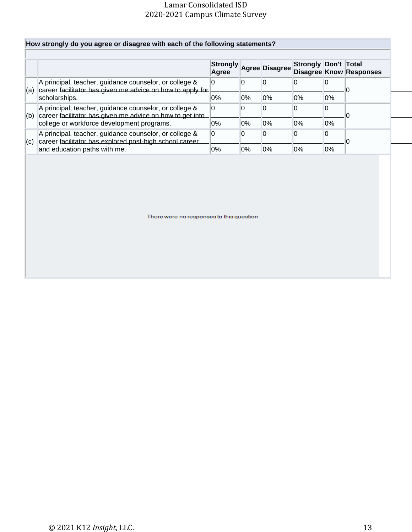|                                                                                                                             | <b>Strongly</b><br>Agree |        | Agree Disagree | Strongly Don't Total |       | <b>Disagree Know Responses</b> |
|-----------------------------------------------------------------------------------------------------------------------------|--------------------------|--------|----------------|----------------------|-------|--------------------------------|
| A principal, teacher, guidance counselor, or college &<br>career facilitator has given me advice on how to apply for<br>(a) | 0                        | 10     | 10             |                      |       |                                |
| scholarships.                                                                                                               | 0%                       | 10%    | 0%             | 0%                   | $0\%$ |                                |
| A principal, teacher, guidance counselor, or college &<br>career facilitator has given me advice on how to get into<br>(b)  | 0                        | 0      | 10             |                      |       |                                |
| college or workforce development programs.                                                                                  | $0\%$                    | $ 0\%$ | $0\%$          | $0\%$                | $0\%$ |                                |
| A principal, teacher, guidance counselor, or college &<br>career facilitator has explored post-high school career<br>(c)    | 0                        | 0      | ۱O             |                      |       |                                |
| and education paths with me.                                                                                                | 0%                       | 0%     | $0\%$          | 0%                   | $0\%$ |                                |

There were no responses to this question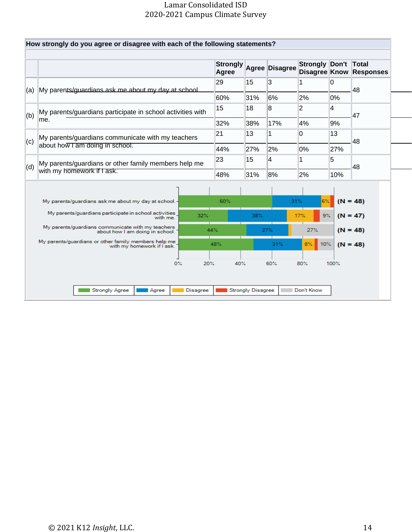|                                                                                      |                                                                                                                                                                                                                 | Agree                                                                |                                       | Agree Disagree | Strongly Don't<br>Disagree Know        |                                 | Total<br><b>Responses</b>                |
|--------------------------------------------------------------------------------------|-----------------------------------------------------------------------------------------------------------------------------------------------------------------------------------------------------------------|----------------------------------------------------------------------|---------------------------------------|----------------|----------------------------------------|---------------------------------|------------------------------------------|
| My parents/quardians ask me about my day at school.<br>(a)                           |                                                                                                                                                                                                                 | 29                                                                   | 15                                    | 3              |                                        | l0                              | 48                                       |
|                                                                                      |                                                                                                                                                                                                                 | 60%                                                                  | 31%                                   | 6%             | 2%                                     | 0%                              |                                          |
| My parents/guardians participate in school activities with                           |                                                                                                                                                                                                                 | 15                                                                   | 18                                    | 8              | $\overline{2}$                         | 4                               | 47                                       |
| lme.                                                                                 |                                                                                                                                                                                                                 | 32%                                                                  | 38%                                   | 17%            | 4%                                     | 9%                              |                                          |
|                                                                                      | 21                                                                                                                                                                                                              | 13                                                                   | 1                                     | l0             | 13                                     | 48                              |                                          |
| (c)                                                                                  |                                                                                                                                                                                                                 |                                                                      | 27%                                   | 2%             | 0%                                     | 27%                             |                                          |
| My parents/guardians or other family members help me<br>(d)                          |                                                                                                                                                                                                                 |                                                                      | 15                                    | 4              | 1                                      | 5                               | 48                                       |
|                                                                                      |                                                                                                                                                                                                                 | 48%                                                                  | 31%                                   | 8%             | 2%                                     | 10%                             |                                          |
|                                                                                      |                                                                                                                                                                                                                 |                                                                      |                                       |                |                                        |                                 |                                          |
| My parents/guardians participate in school activities<br>with me.                    | 32%                                                                                                                                                                                                             |                                                                      | 38%                                   |                |                                        |                                 | $(N = 47)$                               |
| My parents/guardians communicate with my teachers<br>about how I am doing in school. |                                                                                                                                                                                                                 |                                                                      |                                       |                | 27%                                    |                                 | $(N = 48)$                               |
| with my homework if I ask.                                                           |                                                                                                                                                                                                                 |                                                                      |                                       | 31%            | $8\%$                                  |                                 | $(N = 48)$                               |
| $0\%$                                                                                |                                                                                                                                                                                                                 |                                                                      |                                       |                |                                        |                                 |                                          |
|                                                                                      | about how I am doing in school.<br>with my homework if I ask.<br>My parents/quardians ask me about my day at school.-<br>My parents/quardians or other family members help me<br><b>Strongly Agree</b><br>Agree | My parents/guardians communicate with my teachers<br><b>Disagree</b> | 44%<br>23<br>60%<br>44%<br>48%<br>20% | 40%            | 27%<br>60%<br><b>Strongly Disagree</b> | 31%<br>17%<br>80%<br>Don't Know | 6%<br>$(N = 48)$<br>$9\%$<br>10%<br>100% |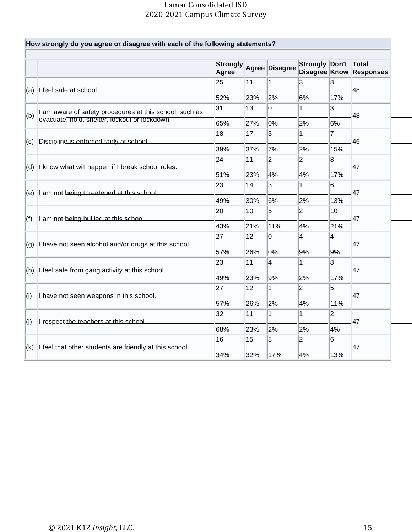|     | How strongly do you agree or disagree with each of the following statements? |                          |              |                |                                        |                |                           |
|-----|------------------------------------------------------------------------------|--------------------------|--------------|----------------|----------------------------------------|----------------|---------------------------|
|     |                                                                              | <b>Strongly</b><br>Agree |              | Agree Disagree | <b>Strongly Don't</b><br>Disagree Know |                | Total<br><b>Responses</b> |
|     |                                                                              | 25                       | 11           | 1              | 3                                      | 8              | 48                        |
| (a) | I feel safe at school                                                        | 52%                      | 23%          | 2%             | 6%                                     | 17%            |                           |
| (b) | I am aware of safety procedures at this school, such as                      | 31                       | 13           | 0              | 1                                      | 3              | 48                        |
|     | evacuate, hold, shelter, lockout or lockdown.                                | 65%                      | 27%          | 0%             | 2%                                     | 6%             |                           |
| (c) | Discipline is enforced fairly at school.                                     | 18                       | 17           | 3              | 1                                      | 17             | 46                        |
|     |                                                                              | 39%                      | 37%          | 7%             | 2%                                     | 15%            |                           |
| (d) | I know what will happen if I break school rules.                             | 24                       | 11           | $ 2\rangle$    | $\overline{2}$                         | 8<br>47        |                           |
|     |                                                                              | 51%                      | 23%          | 4%             | 4%                                     | 17%            |                           |
| (e) | I am not being threatened at this school.                                    | 23                       | 14           | 3              | 1                                      | 6              | 47                        |
|     |                                                                              | 49%                      | 30%          | 6%             | 2%                                     | 13%            |                           |
| (f) | I am not being bullied at this school.                                       | 20                       | 10           | 5              | 2                                      | 10             | 47                        |
|     |                                                                              | 43%                      | 21%          | 11%            | 4%                                     | 21%            |                           |
| (g) | I have not seen alcohol and/or drugs at this school.                         | 27                       | 12           | 0              | 4                                      | 4              | 47                        |
|     |                                                                              | 57%                      | 26%          | 0%             | 9%                                     | 9%             |                           |
| (h) | I feel safe from gang activity at this school.                               | 23                       | 11           | 4              | 1                                      | 8              | 47                        |
|     |                                                                              | 49%                      | 23%          | 9%             | 2%                                     | 17%            |                           |
| (i) | I have not seen weapons in this school.                                      | 27                       | $ 12\rangle$ | 1              | $ 2\rangle$                            | 5              | 47                        |
|     |                                                                              | 57%                      | 26%          | 2%             | 4%                                     | 11%            |                           |
| (j) | I respect the teachers at this school.                                       | 32                       | 11           | 1              | 1                                      | $\overline{2}$ | 47                        |
|     |                                                                              | 68%                      | 23%          | 2%             | 2%                                     | 4%             |                           |
| (k) | I feel that other students are friendly at this school.                      | 16                       | 15           | 8              | $ 2\rangle$                            | 6              | 47                        |
|     |                                                                              | 34%                      | 32%          | 17%            | 4%                                     | 13%            |                           |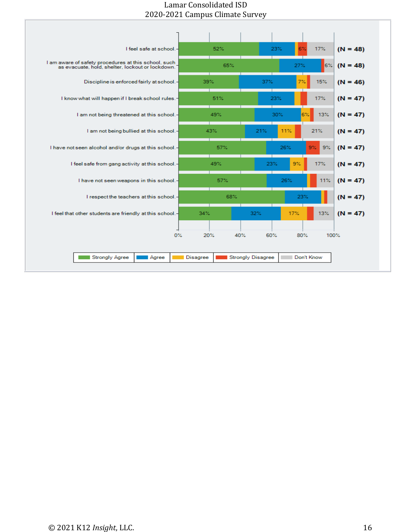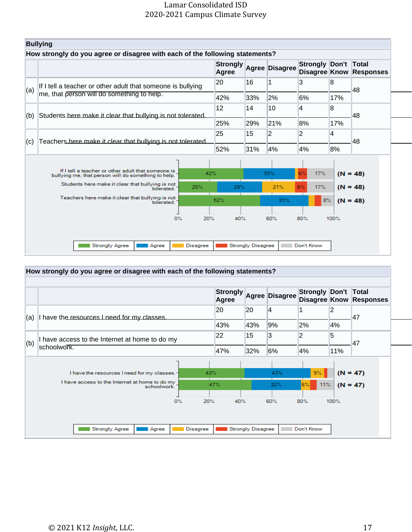|     | <b>Bullying</b>                                                                                           |                 |                          |                          |                |                                       |      |            |
|-----|-----------------------------------------------------------------------------------------------------------|-----------------|--------------------------|--------------------------|----------------|---------------------------------------|------|------------|
|     | How strongly do you agree or disagree with each of the following statements?                              |                 | <b>Strongly</b><br>Agree |                          | Agree Disagree | Strongly Don't Total<br>Disagree Know |      | Responses  |
|     | If I tell a teacher or other adult that someone is bullying                                               |                 | 20                       | 16                       |                | 3                                     | 8    | 48         |
| (a) | me, that person will do something to help.                                                                |                 | 42%                      | 33%                      | 2%             | 6%                                    | 17%  |            |
|     |                                                                                                           |                 | 12                       | 14                       | 10             | 4                                     | 8    | 48         |
| (b) | Students here make it clear that bullying is not tolerated.                                               | 25%             | 29%                      | 21%                      | 8%             | 17%                                   |      |            |
| (c) | Teachers here make it clear that bullying is not tolerated.                                               | 25              | 15                       | $\overline{2}$           | $\overline{2}$ | 4                                     | 48   |            |
|     |                                                                                                           |                 | 52%                      | 31%                      | 4%             | 4%                                    | 8%   |            |
|     | If I tell a teacher or other adult that someone is<br>bullying me, that person will do something to help. | 42%             |                          |                          | 33%            | 6%<br>17%                             |      | $(N = 48)$ |
|     | Students here make it clear that bullying is not<br>tolerated.                                            | 25%             | 29%                      |                          | 21%            | $8\%$<br>17%                          |      | $(N = 48)$ |
|     | Teachers here make it clear that bullying is not<br>tolerated.                                            |                 | 52%                      |                          | 31%            | $8\%$                                 |      | $(N = 48)$ |
|     | 0%                                                                                                        | 20%             | 40%                      |                          | 60%            | 80%                                   | 100% |            |
|     | <b>Strongly Agree</b><br>Agree                                                                            | <b>Disagree</b> |                          | <b>Strongly Disagree</b> |                | Don't Know                            |      |            |

#### **How strongly do you agree or disagree with each of the following statements? Strongly Agree Agree Disagree Strongly Don't Total Disagree Know Responses** 20 4 2 20 1  $(a)$  I have the resources I need for my classes. 47 43% 9% 2% 4% 43% 22 15 3 2 5 (b) I have access to the Internet at home to do my 47schoolwork. 47% 32% 6% 4% 11% 43%  $(N = 47)$ I have the resources I need for my classes. 43%  $9\%$ I have access to the Internet at home to do my<br>schoolwork. 47% 32%  $11%$  $(N = 47)$ 0% 40% 60% 20% 80% 100% Agree Don't Know Strongly Agree Disagree Strongly Disagree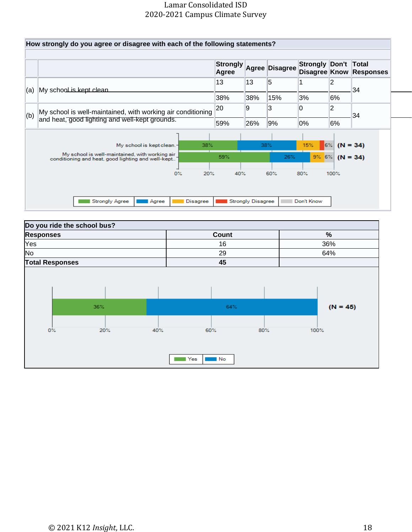

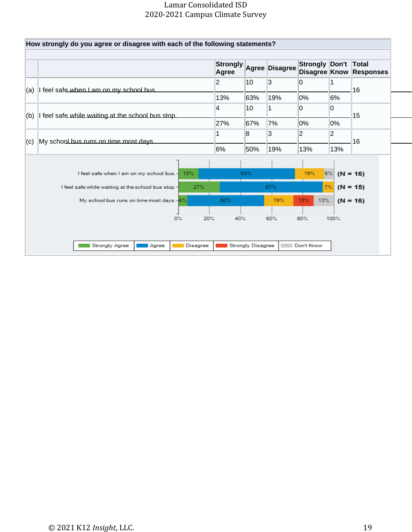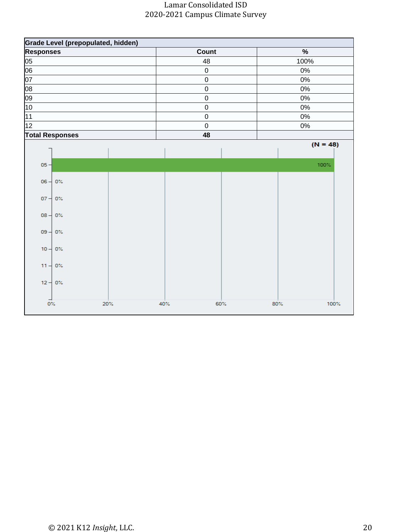|                  |                        | Grade Level (prepopulated, hidden) |     |             |             |  |  |
|------------------|------------------------|------------------------------------|-----|-------------|-------------|--|--|
| <b>Responses</b> |                        |                                    |     | Count       | $\%$        |  |  |
| 05               |                        |                                    |     | 48          | 100%        |  |  |
| 06               |                        |                                    |     | $\mathbf 0$ | $0\%$       |  |  |
| 07               |                        |                                    |     | $\pmb{0}$   | $0\%$       |  |  |
| $\overline{08}$  |                        |                                    |     | $\mathbf 0$ | $0\%$       |  |  |
| 09               |                        |                                    |     | $\mathbf 0$ | $0\%$       |  |  |
| 10               |                        |                                    |     | $\pmb{0}$   | $0\%$       |  |  |
| 11               |                        |                                    |     | $\mathsf 0$ | 0%          |  |  |
| 12               |                        |                                    |     | $\mathsf 0$ | $0\%$       |  |  |
|                  | <b>Total Responses</b> |                                    |     | 48          |             |  |  |
|                  |                        |                                    |     |             | $(N = 48)$  |  |  |
|                  |                        |                                    |     |             |             |  |  |
| $05 -$           |                        |                                    |     |             | 100%        |  |  |
|                  |                        |                                    |     |             |             |  |  |
|                  | $06 - 0%$              |                                    |     |             |             |  |  |
|                  | $07 - 0$ %             |                                    |     |             |             |  |  |
|                  |                        |                                    |     |             |             |  |  |
|                  | $08 - 0$ %             |                                    |     |             |             |  |  |
|                  |                        |                                    |     |             |             |  |  |
|                  | $09 - 0$ %             |                                    |     |             |             |  |  |
|                  |                        |                                    |     |             |             |  |  |
|                  | $10 - 0$ %             |                                    |     |             |             |  |  |
|                  |                        |                                    |     |             |             |  |  |
|                  | $11 - 0$ %             |                                    |     |             |             |  |  |
|                  | $12 - 0$ %             |                                    |     |             |             |  |  |
|                  |                        |                                    |     |             |             |  |  |
|                  |                        |                                    |     |             |             |  |  |
| $0\%$            |                        | 20%                                | 40% | 60%         | 80%<br>100% |  |  |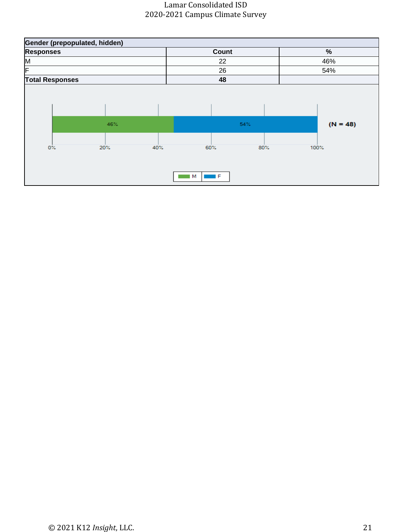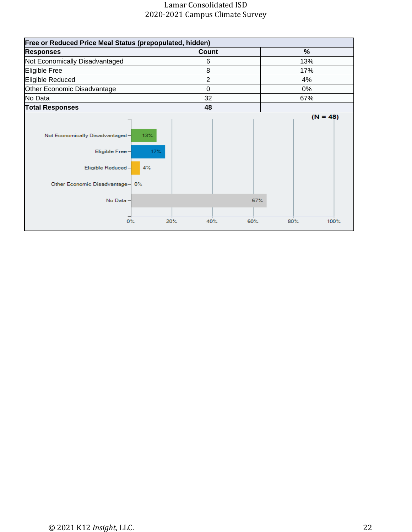| <b>Free or Reduced Price Meal Status (prepopulated, hidden)</b>                                                                            |                   |             |  |  |
|--------------------------------------------------------------------------------------------------------------------------------------------|-------------------|-------------|--|--|
| <b>Responses</b>                                                                                                                           | Count             | %           |  |  |
| Not Economically Disadvantaged                                                                                                             | 6                 | 13%         |  |  |
| Eligible Free                                                                                                                              | 8                 | 17%         |  |  |
| Eligible Reduced                                                                                                                           | $\overline{2}$    | 4%          |  |  |
| Other Economic Disadvantage                                                                                                                | $\mathbf 0$       | 0%          |  |  |
| No Data                                                                                                                                    | 32                | 67%         |  |  |
| <b>Total Responses</b>                                                                                                                     | 48                |             |  |  |
| 13%<br>Not Economically Disadvantaged-<br>Eligible Free-<br>17%<br>Eligible Reduced-<br>4%<br>Other Economic Disadvantage- 0%<br>No Data - | 67%               | $(N = 48)$  |  |  |
| $0\%$                                                                                                                                      | 20%<br>40%<br>60% | 100%<br>80% |  |  |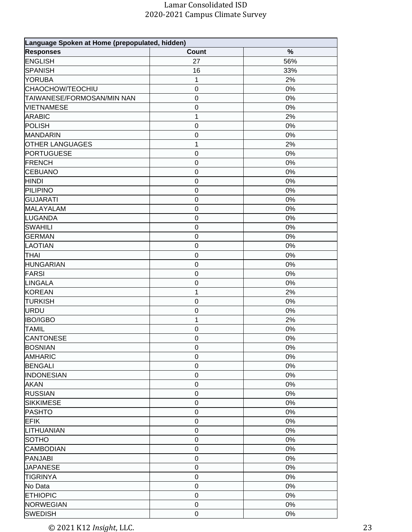| Language Spoken at Home (prepopulated, hidden) |                  |       |  |  |
|------------------------------------------------|------------------|-------|--|--|
| <b>Responses</b>                               | <b>Count</b>     | $\%$  |  |  |
| <b>ENGLISH</b>                                 | 27               | 56%   |  |  |
| SPANISH                                        | 16               | 33%   |  |  |
| <b>YORUBA</b>                                  | 1                | 2%    |  |  |
| <b>CHAOCHOW/TEOCHIU</b>                        | $\pmb{0}$        | 0%    |  |  |
| TAIWANESE/FORMOSAN/MIN NAN                     | $\boldsymbol{0}$ | 0%    |  |  |
| <b>VIETNAMESE</b>                              | $\boldsymbol{0}$ | 0%    |  |  |
| <b>ARABIC</b>                                  | 1                | 2%    |  |  |
| <b>POLISH</b>                                  | $\mathbf 0$      | 0%    |  |  |
| MANDARIN                                       | $\boldsymbol{0}$ | 0%    |  |  |
| <b>OTHER LANGUAGES</b>                         | 1                | 2%    |  |  |
| PORTUGUESE                                     | $\boldsymbol{0}$ | 0%    |  |  |
| FRENCH                                         | $\mathbf 0$      | $0\%$ |  |  |
| CEBUANO                                        | $\mathbf 0$      | 0%    |  |  |
| <b>HINDI</b>                                   | $\mathbf 0$      | 0%    |  |  |
| PILIPINO                                       | $\mathbf 0$      | $0\%$ |  |  |
| GUJARATI                                       | $\mathbf 0$      | 0%    |  |  |
| MALAYALAM                                      | $\mathbf 0$      | 0%    |  |  |
| <b>LUGANDA</b>                                 | $\mathbf 0$      | 0%    |  |  |
| <b>SWAHILI</b>                                 | $\mathbf 0$      | 0%    |  |  |
| <b>GERMAN</b>                                  | $\pmb{0}$        | $0\%$ |  |  |
| <b>LAOTIAN</b>                                 | $\mathbf 0$      | 0%    |  |  |
| <b>THAI</b>                                    | $\mathbf 0$      | $0\%$ |  |  |
| <b>HUNGARIAN</b>                               | $\boldsymbol{0}$ | 0%    |  |  |
| <b>FARSI</b>                                   | $\boldsymbol{0}$ | 0%    |  |  |
| <b>LINGALA</b>                                 | $\mathbf 0$      | 0%    |  |  |
| <b>KOREAN</b>                                  | 1                | 2%    |  |  |
| <b>TURKISH</b>                                 | $\boldsymbol{0}$ | 0%    |  |  |
| URDU                                           | $\boldsymbol{0}$ | $0\%$ |  |  |
| <b>IBO/IGBO</b>                                | 1                | 2%    |  |  |
| <b>TAMIL</b>                                   | $\mathbf 0$      | 0%    |  |  |
| CANTONESE                                      | $\mathbf 0$      | 0%    |  |  |
| <b>BOSNIAN</b>                                 | $\mathbf 0$      | 0%    |  |  |
| <b>AMHARIC</b>                                 | $\mathbf 0$      | 0%    |  |  |
| <b>BENGALI</b>                                 | $\boldsymbol{0}$ | 0%    |  |  |
| <b>INDONESIAN</b>                              | $\mathbf 0$      | 0%    |  |  |
| <b>AKAN</b>                                    | $\mathbf 0$      | 0%    |  |  |
| <b>RUSSIAN</b>                                 | $\mathbf 0$      | 0%    |  |  |
| <b>SIKKIMESE</b>                               | $\mathbf 0$      | 0%    |  |  |
| PASHTO                                         | $\mathbf 0$      | 0%    |  |  |
| <b>EFIK</b>                                    | $\mathbf 0$      | 0%    |  |  |
| LITHUANIAN                                     | $\boldsymbol{0}$ | 0%    |  |  |
| SOTHO                                          | $\mathbf 0$      | 0%    |  |  |
| CAMBODIAN                                      | $\mathbf 0$      | 0%    |  |  |
| PANJABI                                        | $\boldsymbol{0}$ | 0%    |  |  |
| <b>JAPANESE</b>                                | $\mathbf 0$      | 0%    |  |  |
| <b>TIGRINYA</b>                                | $\boldsymbol{0}$ | 0%    |  |  |
| No Data                                        | $\mathbf 0$      | 0%    |  |  |
| <b>ETHIOPIC</b>                                | $\mathbf 0$      | 0%    |  |  |
| <b>NORWEGIAN</b>                               | $\mathbf 0$      | $0\%$ |  |  |
| <b>SWEDISH</b>                                 | $\mathbf 0$      | 0%    |  |  |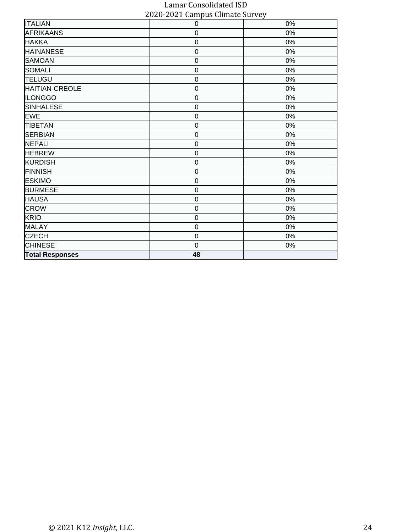| 0           | 0%    |
|-------------|-------|
| $\mathsf 0$ | $0\%$ |
| 0           | $0\%$ |
| 0           | 0%    |
| 0           | 0%    |
| 0           | $0\%$ |
| 0           | $0\%$ |
| $\mathsf 0$ | $0\%$ |
| 0           | $0\%$ |
| 0           | $0\%$ |
| $\mathbf 0$ | 0%    |
| 0           | $0\%$ |
| 0           | $0\%$ |
| 0           | $0\%$ |
| 0           | $0\%$ |
| 0           | $0\%$ |
| 0           | $0\%$ |
| $\mathbf 0$ | $0\%$ |
| 0           | $0\%$ |
| 0           | $0\%$ |
| $\mathbf 0$ | $0\%$ |
| $\mathsf 0$ | $0\%$ |
| 0           | $0\%$ |
| 0           | $0\%$ |
| $\mathbf 0$ | 0%    |
| 48          |       |
|             |       |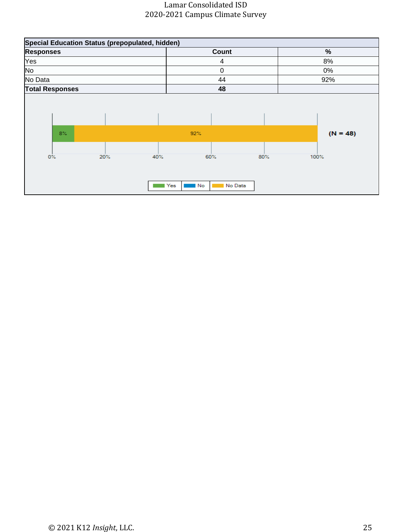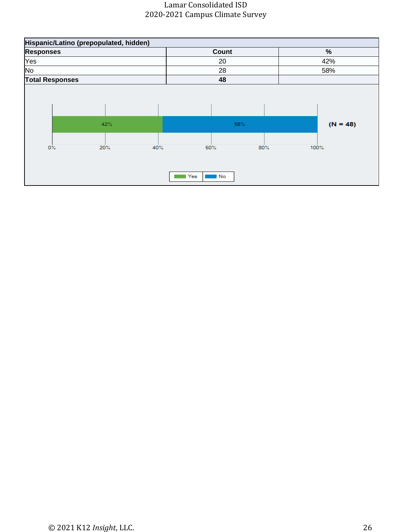